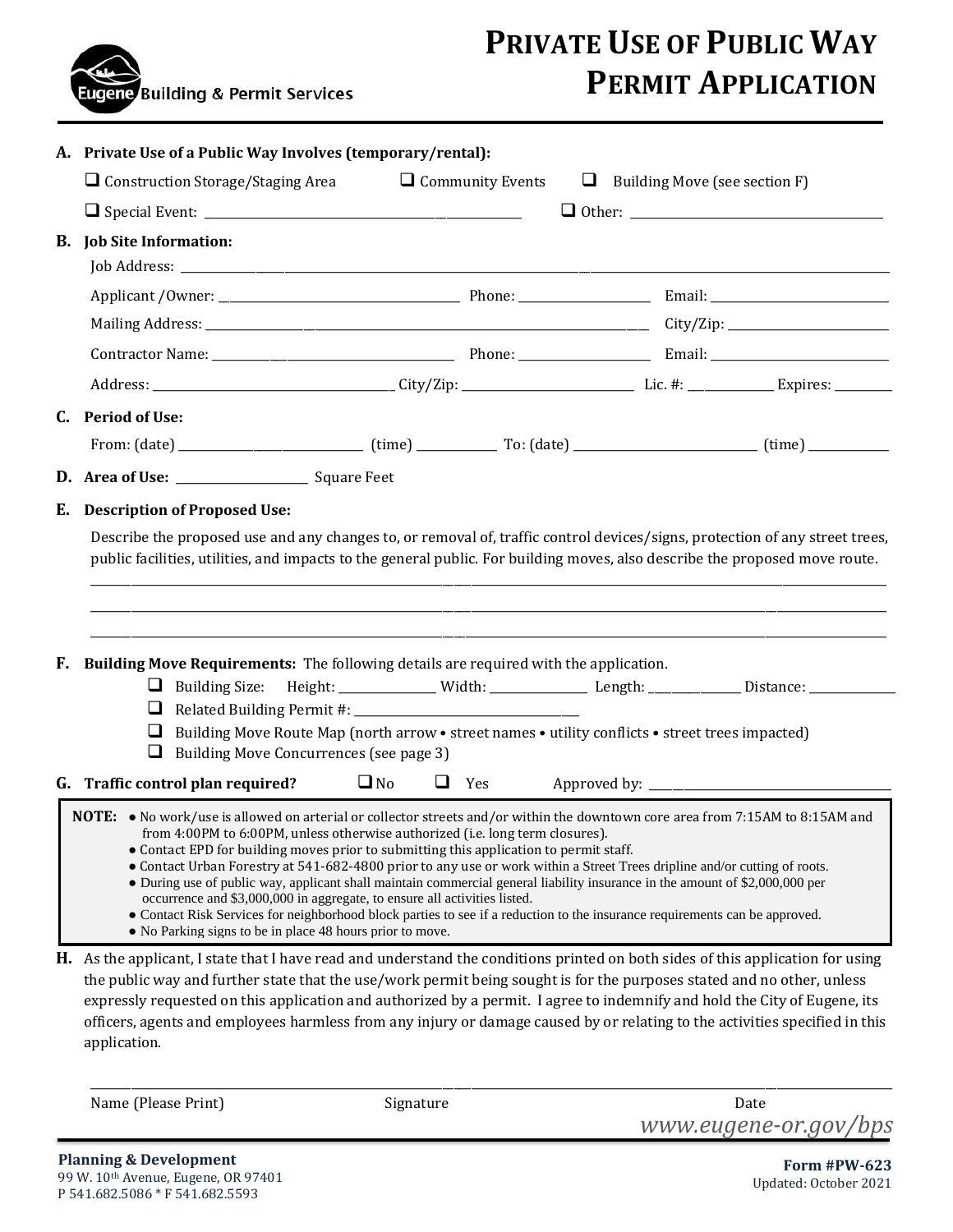

# **PRIVATE USE OF PUBLIC WAY PERMIT APPLICATION**

|           | A. Private Use of a Public Way Involves (temporary/rental):                                                                                                                                                                                                                                                                                                     |           |                         |  |                                      |  |  |
|-----------|-----------------------------------------------------------------------------------------------------------------------------------------------------------------------------------------------------------------------------------------------------------------------------------------------------------------------------------------------------------------|-----------|-------------------------|--|--------------------------------------|--|--|
|           | $\Box$ Construction Storage/Staging Area                                                                                                                                                                                                                                                                                                                        |           | $\Box$ Community Events |  | $\Box$ Building Move (see section F) |  |  |
|           |                                                                                                                                                                                                                                                                                                                                                                 |           |                         |  |                                      |  |  |
| <b>B.</b> | <b>Job Site Information:</b>                                                                                                                                                                                                                                                                                                                                    |           |                         |  |                                      |  |  |
|           |                                                                                                                                                                                                                                                                                                                                                                 |           |                         |  |                                      |  |  |
|           |                                                                                                                                                                                                                                                                                                                                                                 |           |                         |  |                                      |  |  |
|           |                                                                                                                                                                                                                                                                                                                                                                 |           |                         |  |                                      |  |  |
|           |                                                                                                                                                                                                                                                                                                                                                                 |           |                         |  |                                      |  |  |
|           |                                                                                                                                                                                                                                                                                                                                                                 |           |                         |  |                                      |  |  |
| C.        | <b>Period of Use:</b>                                                                                                                                                                                                                                                                                                                                           |           |                         |  |                                      |  |  |
|           |                                                                                                                                                                                                                                                                                                                                                                 |           |                         |  |                                      |  |  |
|           |                                                                                                                                                                                                                                                                                                                                                                 |           |                         |  |                                      |  |  |
| Е.        | <b>Description of Proposed Use:</b>                                                                                                                                                                                                                                                                                                                             |           |                         |  |                                      |  |  |
| F.        | Building Move Requirements: The following details are required with the application.<br>Building Size: Height: ____________ Width: _____________ Length: _____________ Distance: ___________<br>u<br>⊔<br>Building Move Route Map (north arrow • street names • utility conflicts • street trees impacted)<br>⊔<br>Building Move Concurrences (see page 3)<br>⊔ |           |                         |  |                                      |  |  |
|           |                                                                                                                                                                                                                                                                                                                                                                 |           |                         |  |                                      |  |  |
|           | G. Traffic control plan required?                                                                                                                                                                                                                                                                                                                               | $\Box$ No | $\Box$ Yes              |  |                                      |  |  |

Name (Please Print) Signature Signature Date

\_\_\_\_\_\_\_\_\_\_\_\_\_\_\_\_\_\_\_\_\_\_\_\_\_\_\_\_\_\_\_\_\_\_\_\_\_\_\_\_\_\_\_\_\_\_\_\_\_\_\_\_\_\_\_\_\_\_\_\_\_\_\_\_\_\_\_\_\_\_\_\_\_\_\_\_\_\_\_\_\_\_\_\_\_\_\_\_\_\_\_\_\_\_\_\_\_\_\_\_\_\_\_\_\_\_\_\_\_\_\_\_\_\_\_\_\_\_\_\_\_\_\_\_\_\_\_\_\_\_\_\_\_\_\_\_\_\_\_

*www.eugene-or.gov/bps*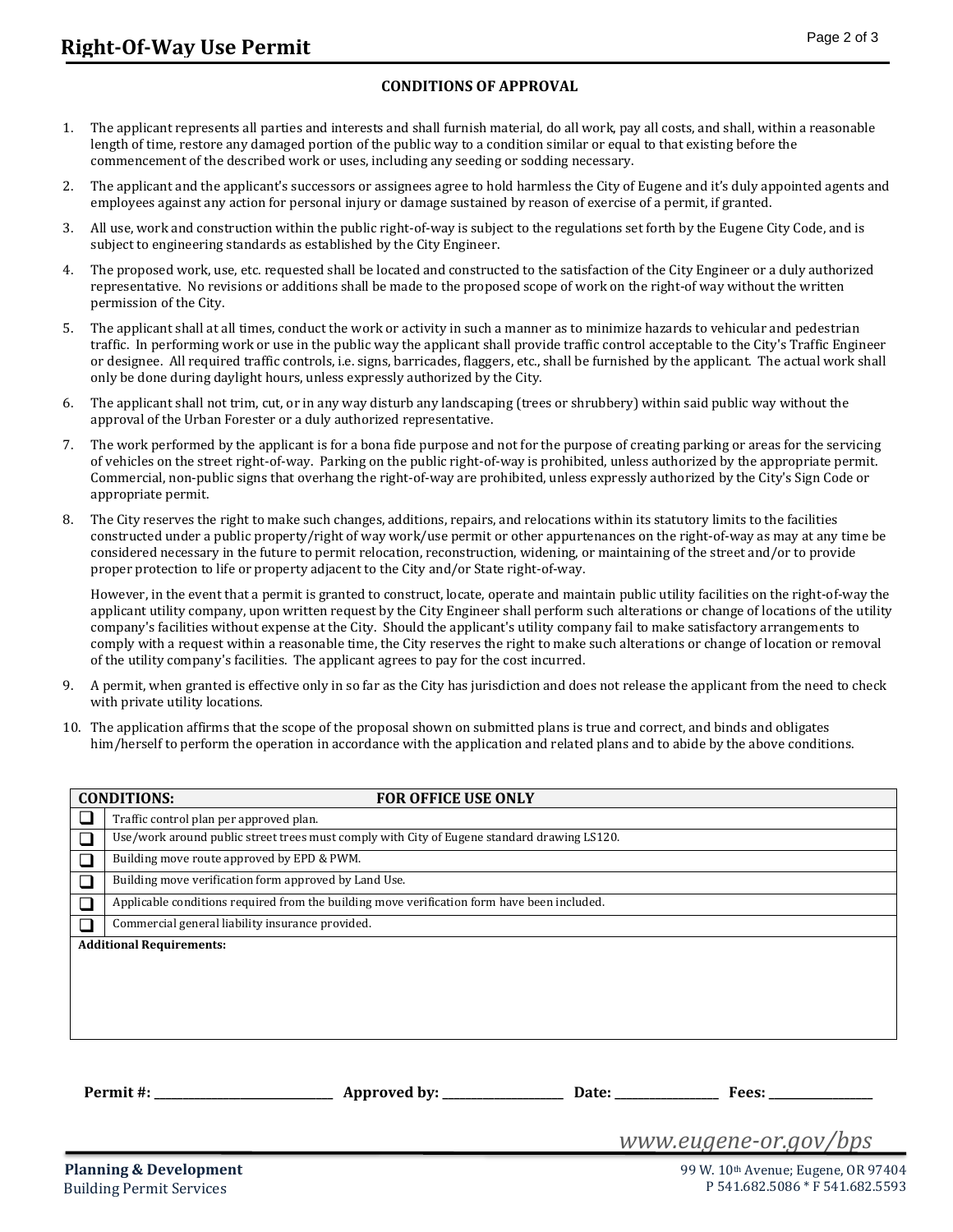#### **CONDITIONS OF APPROVAL**

- 1. The applicant represents all parties and interests and shall furnish material, do all work, pay all costs, and shall, within a reasonable length of time, restore any damaged portion of the public way to a condition similar or equal to that existing before the commencement of the described work or uses, including any seeding or sodding necessary.
- 2. The applicant and the applicant's successors or assignees agree to hold harmless the City of Eugene and it's duly appointed agents and employees against any action for personal injury or damage sustained by reason of exercise of a permit, if granted.
- 3. All use, work and construction within the public right-of-way is subject to the regulations set forth by the Eugene City Code, and is subject to engineering standards as established by the City Engineer.
- 4. The proposed work, use, etc. requested shall be located and constructed to the satisfaction of the City Engineer or a duly authorized representative. No revisions or additions shall be made to the proposed scope of work on the right-of way without the written permission of the City.
- 5. The applicant shall at all times, conduct the work or activity in such a manner as to minimize hazards to vehicular and pedestrian traffic. In performing work or use in the public way the applicant shall provide traffic control acceptable to the City's Traffic Engineer or designee. All required traffic controls, i.e. signs, barricades, flaggers, etc., shall be furnished by the applicant. The actual work shall only be done during daylight hours, unless expressly authorized by the City.
- 6. The applicant shall not trim, cut, or in any way disturb any landscaping (trees or shrubbery) within said public way without the approval of the Urban Forester or a duly authorized representative.
- 7. The work performed by the applicant is for a bona fide purpose and not for the purpose of creating parking or areas for the servicing of vehicles on the street right-of-way. Parking on the public right-of-way is prohibited, unless authorized by the appropriate permit. Commercial, non-public signs that overhang the right-of-way are prohibited, unless expressly authorized by the City's Sign Code or appropriate permit.
- 8. The City reserves the right to make such changes, additions, repairs, and relocations within its statutory limits to the facilities constructed under a public property/right of way work/use permit or other appurtenances on the right-of-way as may at any time be considered necessary in the future to permit relocation, reconstruction, widening, or maintaining of the street and/or to provide proper protection to life or property adjacent to the City and/or State right-of-way.

However, in the event that a permit is granted to construct, locate, operate and maintain public utility facilities on the right-of-way the applicant utility company, upon written request by the City Engineer shall perform such alterations or change of locations of the utility company's facilities without expense at the City. Should the applicant's utility company fail to make satisfactory arrangements to comply with a request within a reasonable time, the City reserves the right to make such alterations or change of location or removal of the utility company's facilities. The applicant agrees to pay for the cost incurred.

- 9. A permit, when granted is effective only in so far as the City has jurisdiction and does not release the applicant from the need to check with private utility locations.
- 10. The application affirms that the scope of the proposal shown on submitted plans is true and correct, and binds and obligates him/herself to perform the operation in accordance with the application and related plans and to abide by the above conditions.

|                                 | <b>CONDITIONS:</b><br><b>FOR OFFICE USE ONLY</b>                                            |  |  |  |  |
|---------------------------------|---------------------------------------------------------------------------------------------|--|--|--|--|
|                                 | Traffic control plan per approved plan.                                                     |  |  |  |  |
|                                 | Use/work around public street trees must comply with City of Eugene standard drawing LS120. |  |  |  |  |
|                                 | Building move route approved by EPD & PWM.                                                  |  |  |  |  |
|                                 | Building move verification form approved by Land Use.                                       |  |  |  |  |
|                                 | Applicable conditions required from the building move verification form have been included. |  |  |  |  |
|                                 | Commercial general liability insurance provided.                                            |  |  |  |  |
| <b>Additional Requirements:</b> |                                                                                             |  |  |  |  |
|                                 |                                                                                             |  |  |  |  |
|                                 |                                                                                             |  |  |  |  |
|                                 |                                                                                             |  |  |  |  |
|                                 |                                                                                             |  |  |  |  |
|                                 |                                                                                             |  |  |  |  |
|                                 |                                                                                             |  |  |  |  |
|                                 | Permit #:<br>Approved by: _______________<br>Date:<br>Fees:                                 |  |  |  |  |

*www.eugene-or.gov/bps*